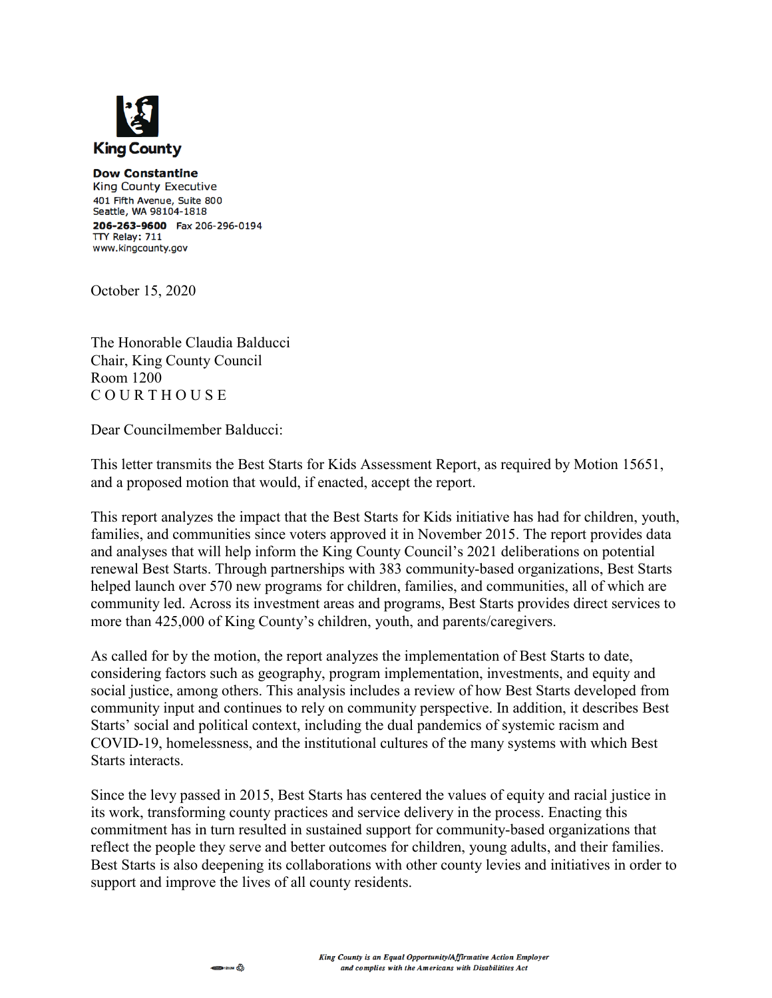

**Dow Constantine King County Executive** 401 Fifth Avenue, Suite 800 Seattle, WA 98104-1818 206-263-9600 Fax 206-296-0194 TTY Relay: 711 www.kingcounty.gov

October 15, 2020

The Honorable Claudia Balducci Chair, King County Council Room 1200 C O U R T H O U S E

Dear Councilmember Balducci:

This letter transmits the Best Starts for Kids Assessment Report, as required by Motion 15651, and a proposed motion that would, if enacted, accept the report.

This report analyzes the impact that the Best Starts for Kids initiative has had for children, youth, families, and communities since voters approved it in November 2015. The report provides data and analyses that will help inform the King County Council's 2021 deliberations on potential renewal Best Starts. Through partnerships with 383 community-based organizations, Best Starts helped launch over 570 new programs for children, families, and communities, all of which are community led. Across its investment areas and programs, Best Starts provides direct services to more than 425,000 of King County's children, youth, and parents/caregivers.

As called for by the motion, the report analyzes the implementation of Best Starts to date, considering factors such as geography, program implementation, investments, and equity and social justice, among others. This analysis includes a review of how Best Starts developed from community input and continues to rely on community perspective. In addition, it describes Best Starts' social and political context, including the dual pandemics of systemic racism and COVID-19, homelessness, and the institutional cultures of the many systems with which Best Starts interacts.

Since the levy passed in 2015, Best Starts has centered the values of equity and racial justice in its work, transforming county practices and service delivery in the process. Enacting this commitment has in turn resulted in sustained support for community-based organizations that reflect the people they serve and better outcomes for children, young adults, and their families. Best Starts is also deepening its collaborations with other county levies and initiatives in order to support and improve the lives of all county residents.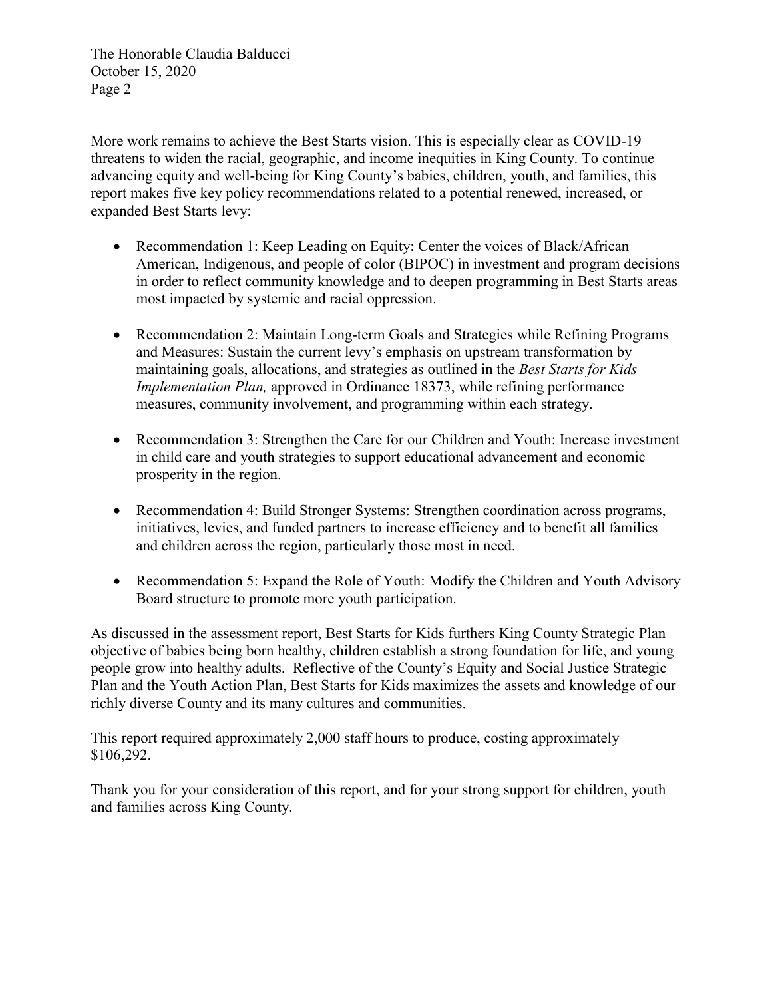The Honorable Claudia Balducci October 15, 2020 Page 2

More work remains to achieve the Best Starts vision. This is especially clear as COVID-19 threatens to widen the racial, geographic, and income inequities in King County. To continue advancing equity and well-being for King County's babies, children, youth, and families, this report makes five key policy recommendations related to a potential renewed, increased, or expanded Best Starts levy:

- Recommendation 1: Keep Leading on Equity: Center the voices of Black/African American, Indigenous, and people of color (BIPOC) in investment and program decisions in order to reflect community knowledge and to deepen programming in Best Starts areas most impacted by systemic and racial oppression.
- Recommendation 2: Maintain Long-term Goals and Strategies while Refining Programs and Measures: Sustain the current levy's emphasis on upstream transformation by maintaining goals, allocations, and strategies as outlined in the *Best Starts for Kids Implementation Plan,* approved in Ordinance 18373, while refining performance measures, community involvement, and programming within each strategy.
- Recommendation 3: Strengthen the Care for our Children and Youth: Increase investment in child care and youth strategies to support educational advancement and economic prosperity in the region.
- Recommendation 4: Build Stronger Systems: Strengthen coordination across programs, initiatives, levies, and funded partners to increase efficiency and to benefit all families and children across the region, particularly those most in need.
- Recommendation 5: Expand the Role of Youth: Modify the Children and Youth Advisory Board structure to promote more youth participation.

As discussed in the assessment report, Best Starts for Kids furthers King County Strategic Plan objective of babies being born healthy, children establish a strong foundation for life, and young people grow into healthy adults. Reflective of the County's Equity and Social Justice Strategic Plan and the Youth Action Plan, Best Starts for Kids maximizes the assets and knowledge of our richly diverse County and its many cultures and communities.

This report required approximately 2,000 staff hours to produce, costing approximately \$106,292.

Thank you for your consideration of this report, and for your strong support for children, youth and families across King County.